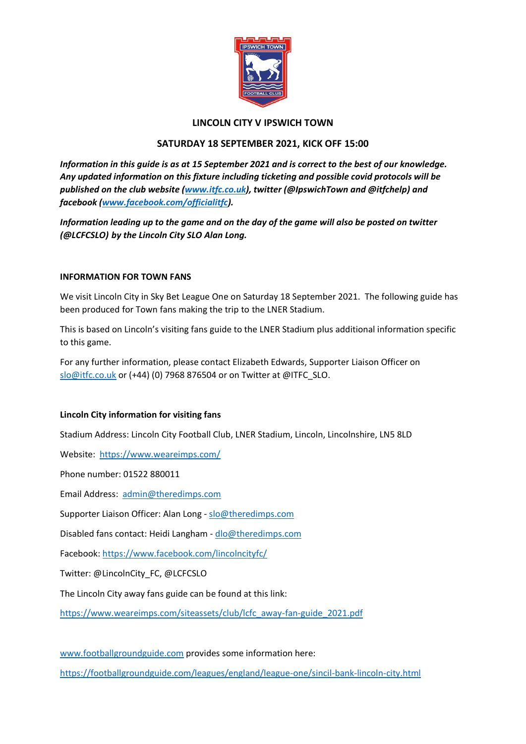

# **LINCOLN CITY V IPSWICH TOWN**

# **SATURDAY 18 SEPTEMBER 2021, KICK OFF 15:00**

*Information in this guide is as at 15 September 2021 and is correct to the best of our knowledge. Any updated information on this fixture including ticketing and possible covid protocols will be published on the club website [\(www.itfc.co.uk\)](http://www.itfc.co.uk/), twitter (@IpswichTown and @itfchelp) and facebook [\(www.facebook.com/officialitfc\)](http://www.facebook.com/officialitsc).*

*Information leading up to the game and on the day of the game will also be posted on twitter (@LCFCSLO) by the Lincoln City SLO Alan Long.* 

# **INFORMATION FOR TOWN FANS**

We visit Lincoln City in Sky Bet League One on Saturday 18 September 2021. The following guide has been produced for Town fans making the trip to the LNER Stadium.

This is based on Lincoln's visiting fans guide to the LNER Stadium plus additional information specific to this game.

For any further information, please contact Elizabeth Edwards, Supporter Liaison Officer on [slo@itfc.co.uk](mailto:slo@itfc.co.uk) or (+44) (0) 7968 876504 or on Twitter at @ITFC\_SLO.

## **Lincoln City information for visiting fans**

Stadium Address: Lincoln City Football Club, LNER Stadium, Lincoln, Lincolnshire, LN5 8LD

Website: <https://www.weareimps.com/>

Phone number: 01522 880011

Email Address: [admin@theredimps.com](mailto:admin@theredimps.com)

Supporter Liaison Officer: Alan Long - [slo@theredimps.com](mailto:slo@theredimps.com)

Disabled fans contact: Heidi Langham - [dlo@theredimps.com](mailto:dlo@theredimps.com)

Facebook: <https://www.facebook.com/lincolncityfc/>

Twitter: @LincolnCity\_FC, @LCFCSLO

The Lincoln City away fans guide can be found at this link:

[https://www.weareimps.com/siteassets/club/lcfc\\_away-fan-guide\\_2021.pdf](https://www.weareimps.com/siteassets/club/lcfc_away-fan-guide_2021.pdf)

[www.footballgroundguide.com](http://www.footballgroundguide.com/) provides some information here:

<https://footballgroundguide.com/leagues/england/league-one/sincil-bank-lincoln-city.html>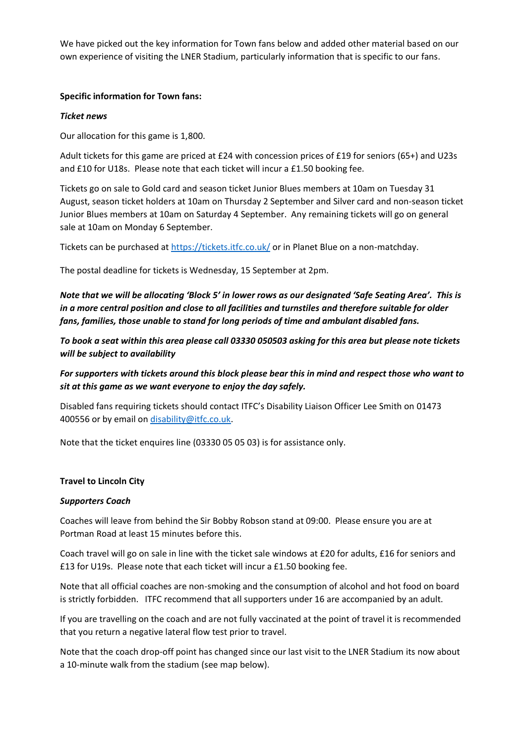We have picked out the key information for Town fans below and added other material based on our own experience of visiting the LNER Stadium, particularly information that is specific to our fans.

## **Specific information for Town fans:**

## *Ticket news*

Our allocation for this game is 1,800.

Adult tickets for this game are priced at £24 with concession prices of £19 for seniors (65+) and U23s and £10 for U18s. Please note that each ticket will incur a £1.50 booking fee.

Tickets go on sale to Gold card and season ticket Junior Blues members at 10am on Tuesday 31 August, season ticket holders at 10am on Thursday 2 September and Silver card and non-season ticket Junior Blues members at 10am on Saturday 4 September. Any remaining tickets will go on general sale at 10am on Monday 6 September.

Tickets can be purchased at<https://tickets.itfc.co.uk/> or in Planet Blue on a non-matchday.

The postal deadline for tickets is Wednesday, 15 September at 2pm.

*Note that we will be allocating 'Block 5' in lower rows as our designated 'Safe Seating Area'. This is in a more central position and close to all facilities and turnstiles and therefore suitable for older fans, families, those unable to stand for long periods of time and ambulant disabled fans.* 

*To book a seat within this area please call 03330 050503 asking for this area but please note tickets will be subject to availability*

*For supporters with tickets around this block please bear this in mind and respect those who want to sit at this game as we want everyone to enjoy the day safely.*

Disabled fans requiring tickets should contact ITFC's Disability Liaison Officer Lee Smith on 01473 400556 or by email on [disability@itfc.co.uk.](mailto:disability@itfc.co.uk)

Note that the ticket enquires line (03330 05 05 03) is for assistance only.

## **Travel to Lincoln City**

## *Supporters Coach*

Coaches will leave from behind the Sir Bobby Robson stand at 09:00. Please ensure you are at Portman Road at least 15 minutes before this.

Coach travel will go on sale in line with the ticket sale windows at £20 for adults, £16 for seniors and £13 for U19s. Please note that each ticket will incur a £1.50 booking fee.

Note that all official coaches are non-smoking and the consumption of alcohol and hot food on board is strictly forbidden. ITFC recommend that all supporters under 16 are accompanied by an adult.

If you are travelling on the coach and are not fully vaccinated at the point of travel it is recommended that you return a negative lateral flow test prior to travel.

Note that the coach drop-off point has changed since our last visit to the LNER Stadium its now about a 10-minute walk from the stadium (see map below).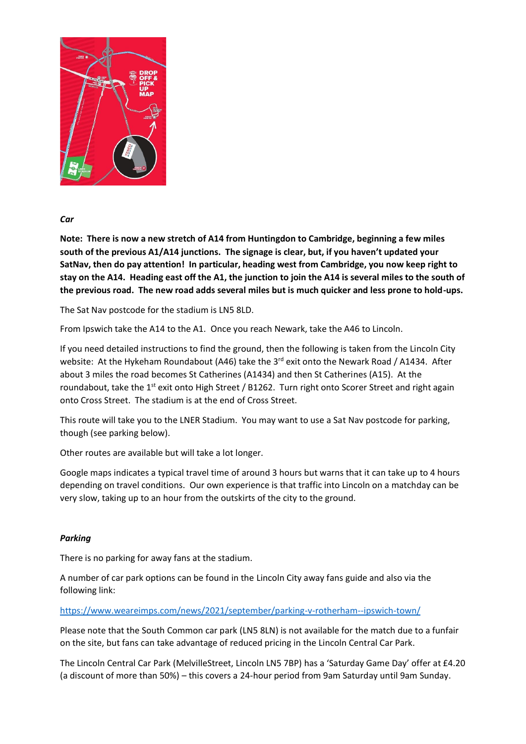

# *Car*

**Note: There is now a new stretch of A14 from Huntingdon to Cambridge, beginning a few miles south of the previous A1/A14 junctions. The signage is clear, but, if you haven't updated your SatNav, then do pay attention! In particular, heading west from Cambridge, you now keep right to stay on the A14. Heading east off the A1, the junction to join the A14 is several miles to the south of the previous road. The new road adds several miles but is much quicker and less prone to hold-ups.**

The Sat Nav postcode for the stadium is LN5 8LD.

From Ipswich take the A14 to the A1. Once you reach Newark, take the A46 to Lincoln.

If you need detailed instructions to find the ground, then the following is taken from the Lincoln City website: At the Hykeham Roundabout (A46) take the 3<sup>rd</sup> exit onto the Newark Road / A1434. After about 3 miles the road becomes St Catherines (A1434) and then St Catherines (A15). At the roundabout, take the  $1^{st}$  exit onto High Street / B1262. Turn right onto Scorer Street and right again onto Cross Street. The stadium is at the end of Cross Street.

This route will take you to the LNER Stadium. You may want to use a Sat Nav postcode for parking, though (see parking below).

Other routes are available but will take a lot longer.

Google maps indicates a typical travel time of around 3 hours but warns that it can take up to 4 hours depending on travel conditions. Our own experience is that traffic into Lincoln on a matchday can be very slow, taking up to an hour from the outskirts of the city to the ground.

# *Parking*

There is no parking for away fans at the stadium.

A number of car park options can be found in the Lincoln City away fans guide and also via the following link:

## <https://www.weareimps.com/news/2021/september/parking-v-rotherham--ipswich-town/>

Please note that the South Common car park (LN5 8LN) is not available for the match due to a funfair on the site, but fans can take advantage of reduced pricing in the Lincoln Central Car Park.

The Lincoln Central Car Park (MelvilleStreet, Lincoln LN5 7BP) has a 'Saturday Game Day' offer at £4.20 (a discount of more than 50%) – this covers a 24-hour period from 9am Saturday until 9am Sunday.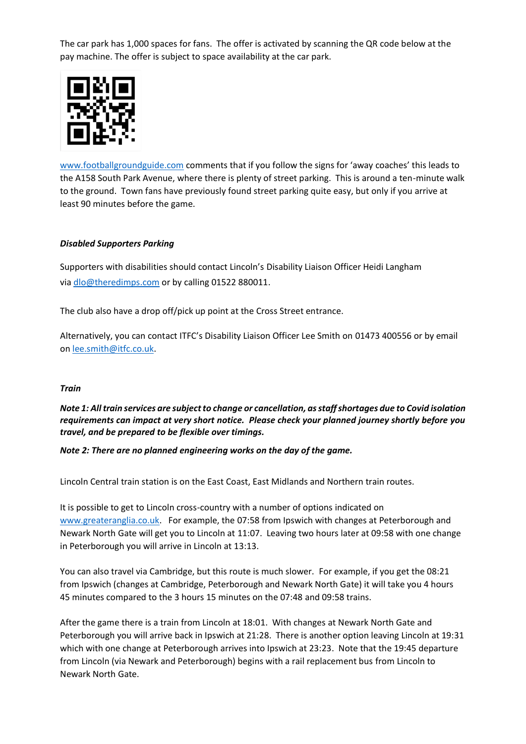The car park has 1,000 spaces for fans. The offer is activated by scanning the QR code below at the pay machine. The offer is subject to space availability at the car park.



[www.footballgroundguide.com](http://www.footballgroundguide.com/) comments that if you follow the signs for 'away coaches' this leads to the A158 South Park Avenue, where there is plenty of street parking. This is around a ten-minute walk to the ground. Town fans have previously found street parking quite easy, but only if you arrive at least 90 minutes before the game.

# *Disabled Supporters Parking*

Supporters with disabilities should contact Lincoln's Disability Liaison Officer Heidi Langham via [dlo@theredimps.com](mailto:dlo@theredimps.com) or by calling 01522 880011.

The club also have a drop off/pick up point at the Cross Street entrance.

Alternatively, you can contact ITFC's Disability Liaison Officer Lee Smith on 01473 400556 or by email on [lee.smith@itfc.co.uk.](mailto:lee.smith@itfc.co.uk)

## *Train*

*Note 1: All train services are subject to change or cancellation, as staff shortages due to Covid isolation requirements can impact at very short notice. Please check your planned journey shortly before you travel, and be prepared to be flexible over timings.* 

## *Note 2: There are no planned engineering works on the day of the game.*

Lincoln Central train station is on the East Coast, East Midlands and Northern train routes.

It is possible to get to Lincoln cross-country with a number of options indicated on [www.greateranglia.co.uk.](http://www.greateranglia.co.uk/) For example, the 07:58 from Ipswich with changes at Peterborough and Newark North Gate will get you to Lincoln at 11:07. Leaving two hours later at 09:58 with one change in Peterborough you will arrive in Lincoln at 13:13.

You can also travel via Cambridge, but this route is much slower. For example, if you get the 08:21 from Ipswich (changes at Cambridge, Peterborough and Newark North Gate) it will take you 4 hours 45 minutes compared to the 3 hours 15 minutes on the 07:48 and 09:58 trains.

After the game there is a train from Lincoln at 18:01. With changes at Newark North Gate and Peterborough you will arrive back in Ipswich at 21:28. There is another option leaving Lincoln at 19:31 which with one change at Peterborough arrives into Ipswich at 23:23. Note that the 19:45 departure from Lincoln (via Newark and Peterborough) begins with a rail replacement bus from Lincoln to Newark North Gate.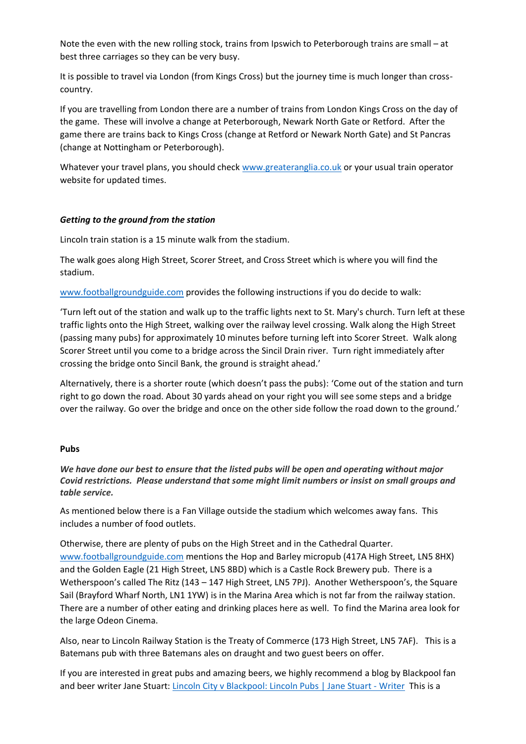Note the even with the new rolling stock, trains from Ipswich to Peterborough trains are small – at best three carriages so they can be very busy.

It is possible to travel via London (from Kings Cross) but the journey time is much longer than crosscountry.

If you are travelling from London there are a number of trains from London Kings Cross on the day of the game. These will involve a change at Peterborough, Newark North Gate or Retford. After the game there are trains back to Kings Cross (change at Retford or Newark North Gate) and St Pancras (change at Nottingham or Peterborough).

Whatever your travel plans, you should check [www.greateranglia.co.uk](http://www.greateranglia.co.uk/) or your usual train operator website for updated times.

## *Getting to the ground from the station*

Lincoln train station is a 15 minute walk from the stadium.

The walk goes along High Street, Scorer Street, and Cross Street which is where you will find the stadium.

[www.footballgroundguide.com](http://www.footballgroundguide.com/) provides the following instructions if you do decide to walk:

'Turn left out of the station and walk up to the traffic lights next to St. Mary's church. Turn left at these traffic lights onto the High Street, walking over the railway level crossing. Walk along the High Street (passing many pubs) for approximately 10 minutes before turning left into Scorer Street. Walk along Scorer Street until you come to a bridge across the Sincil Drain river. Turn right immediately after crossing the bridge onto Sincil Bank, the ground is straight ahead.'

Alternatively, there is a shorter route (which doesn't pass the pubs): 'Come out of the station and turn right to go down the road. About 30 yards ahead on your right you will see some steps and a bridge over the railway. Go over the bridge and once on the other side follow the road down to the ground.'

## **Pubs**

*We have done our best to ensure that the listed pubs will be open and operating without major Covid restrictions. Please understand that some might limit numbers or insist on small groups and table service.* 

As mentioned below there is a Fan Village outside the stadium which welcomes away fans. This includes a number of food outlets.

Otherwise, there are plenty of pubs on the High Street and in the Cathedral Quarter. [www.footballgroundguide.com](http://www.footballgroundguide.com/) mentions the Hop and Barley micropub (417A High Street, LN5 8HX) and the Golden Eagle (21 High Street, LN5 8BD) which is a Castle Rock Brewery pub. There is a Wetherspoon's called The Ritz (143 – 147 High Street, LN5 7PJ). Another Wetherspoon's, the Square Sail (Brayford Wharf North, LN1 1YW) is in the Marina Area which is not far from the railway station. There are a number of other eating and drinking places here as well. To find the Marina area look for the large Odeon Cinema.

Also, near to Lincoln Railway Station is the Treaty of Commerce (173 High Street, LN5 7AF). This is a Batemans pub with three Batemans ales on draught and two guest beers on offer.

If you are interested in great pubs and amazing beers, we highly recommend a blog by Blackpool fan and beer writer Jane Stuart: [Lincoln City v Blackpool: Lincoln Pubs | Jane Stuart -](https://janestuart.co.uk/2021/04/11/lincoln-city-v-blackpool-lincoln-pubs/?fbclid=IwAR2N7vY30SZM3-h7ujavnQG_eba_ghoSO3zUX2IRS3eJ7ZMqu3sGOflEppA) Writer This is a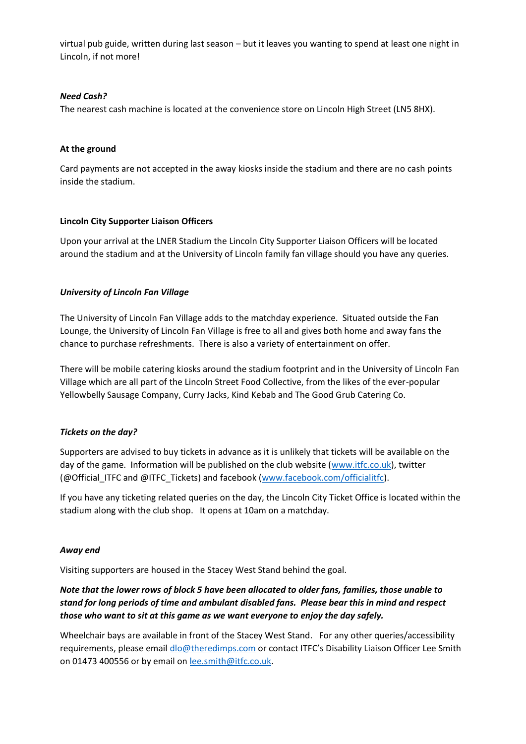virtual pub guide, written during last season – but it leaves you wanting to spend at least one night in Lincoln, if not more!

## *Need Cash?*

The nearest cash machine is located at the convenience store on Lincoln High Street (LN5 8HX).

## **At the ground**

Card payments are not accepted in the away kiosks inside the stadium and there are no cash points inside the stadium.

# **Lincoln City Supporter Liaison Officers**

Upon your arrival at the LNER Stadium the Lincoln City Supporter Liaison Officers will be located around the stadium and at the University of Lincoln family fan village should you have any queries.

# *University of Lincoln Fan Village*

The University of Lincoln Fan Village adds to the matchday experience. Situated outside the Fan Lounge, the University of Lincoln Fan Village is free to all and gives both home and away fans the chance to purchase refreshments. There is also a variety of entertainment on offer.

There will be mobile catering kiosks around the stadium footprint and in the University of Lincoln Fan Village which are all part of the Lincoln Street Food Collective, from the likes of the ever-popular Yellowbelly Sausage Company, Curry Jacks, Kind Kebab and The Good Grub Catering Co.

# *Tickets on the day?*

Supporters are advised to buy tickets in advance as it is unlikely that tickets will be available on the day of the game. Information will be published on the club website [\(www.itfc.co.uk\)](http://www.itfc.co.uk/), twitter (@Official\_ITFC and @ITFC\_Tickets) and facebook [\(www.facebook.com/officialitfc\)](http://www.facebook.com/officialitsc).

If you have any ticketing related queries on the day, the Lincoln City Ticket Office is located within the stadium along with the club shop. It opens at 10am on a matchday.

## *Away end*

Visiting supporters are housed in the Stacey West Stand behind the goal.

# *Note that the lower rows of block 5 have been allocated to older fans, families, those unable to stand for long periods of time and ambulant disabled fans. Please bear this in mind and respect those who want to sit at this game as we want everyone to enjoy the day safely.*

Wheelchair bays are available in front of the Stacey West Stand. For any other queries/accessibility requirements, please email [dlo@theredimps.com](mailto:dlo@theredimps.com) or contact ITFC's Disability Liaison Officer Lee Smith on 01473 400556 or by email on [lee.smith@itfc.co.uk.](mailto:lee.smith@itfc.co.uk)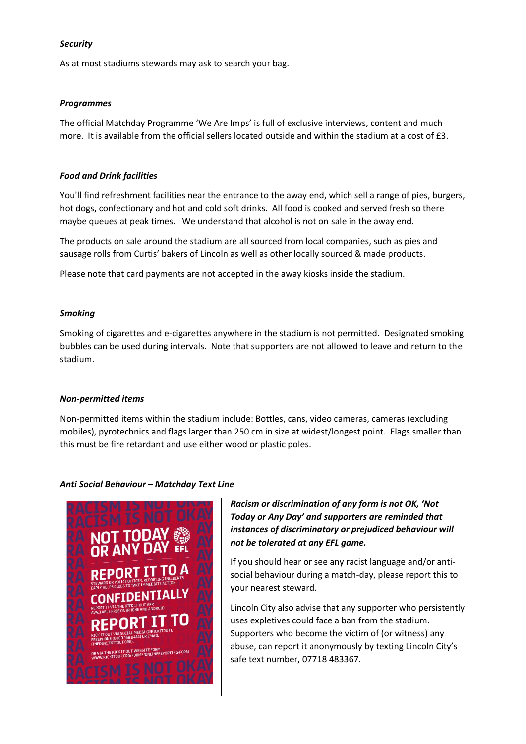## *Security*

As at most stadiums stewards may ask to search your bag.

## *Programmes*

The official Matchday Programme 'We Are Imps' is full of exclusive interviews, content and much more. It is available from the official sellers located outside and within the stadium at a cost of £3.

# *Food and Drink facilities*

You'll find refreshment facilities near the entrance to the away end, which sell a range of pies, burgers, hot dogs, confectionary and hot and cold soft drinks. All food is cooked and served fresh so there maybe queues at peak times. We understand that alcohol is not on sale in the away end.

The products on sale around the stadium are all sourced from local companies, such as pies and sausage rolls from Curtis' bakers of Lincoln as well as other locally sourced & made products.

Please note that card payments are not accepted in the away kiosks inside the stadium.

# *Smoking*

Smoking of cigarettes and e-cigarettes anywhere in the stadium is not permitted. Designated smoking bubbles can be used during intervals. Note that supporters are not allowed to leave and return to the stadium.

## *Non-permitted items*

Non-permitted items within the stadium include: Bottles, cans, video cameras, cameras (excluding mobiles), pyrotechnics and flags larger than 250 cm in size at widest/longest point. Flags smaller than this must be fire retardant and use either wood or plastic poles.

## *Anti Social Behaviour – Matchday Text Line*



*Racism or discrimination of any form is not OK, 'Not Today or Any Day' and supporters are reminded that instances of discriminatory or prejudiced behaviour will not be tolerated at any EFL game.* 

If you should hear or see any racist language and/or antisocial behaviour during a match-day, please report this to your nearest steward.

Lincoln City also advise that any supporter who persistently uses expletives could face a ban from the stadium. Supporters who become the victim of (or witness) any abuse, can report it anonymously by texting Lincoln City's safe text number, 07718 483367.